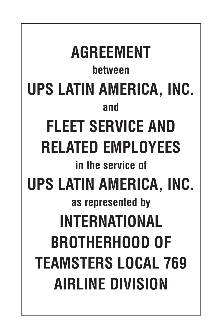**AGREEMENT between UPS LATIN AMERICA, INC. and FLEET SERVICE AND RELATED EMPLOYEES in the service of UPS LATIN AMERICA, INC. as represented by INTERNATIONAL BROTHERHOOD OF TEAMSTERS LOCAL 769 AIRLINE DIVISION**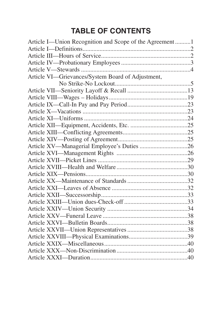# **TABLE OF CONTENTS**

| Article I-Union Recognition and Scope of the Agreement1 |  |
|---------------------------------------------------------|--|
|                                                         |  |
|                                                         |  |
|                                                         |  |
|                                                         |  |
| Article VI-Grievances/System Board of Adjustment,       |  |
|                                                         |  |
|                                                         |  |
|                                                         |  |
|                                                         |  |
|                                                         |  |
|                                                         |  |
|                                                         |  |
|                                                         |  |
|                                                         |  |
| Article XV-Managerial Employee's Duties 26              |  |
|                                                         |  |
|                                                         |  |
|                                                         |  |
|                                                         |  |
|                                                         |  |
|                                                         |  |
|                                                         |  |
|                                                         |  |
|                                                         |  |
|                                                         |  |
|                                                         |  |
|                                                         |  |
|                                                         |  |
|                                                         |  |
|                                                         |  |
|                                                         |  |
|                                                         |  |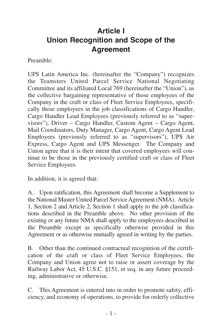## <span id="page-4-0"></span>**Article I Union Recognition and Scope of the Agreement**

Preamble:

UPS Latin America Inc. (hereinafter the "Company") recognizes the Teamsters United Parcel Service National Negotiating Committee and its affiliated Local 769 (hereinafter the "Union"), as the collective bargaining representative of those employees of the Company in the craft or class of Fleet Service Employees, specifically those employees in the job classifications of Cargo Handler, Cargo Handler Lead Employees (previously referred to as "supervisors"), Driver – Cargo Handler, Custom Agent – Cargo Agent, Mail Coordinators, Duty Manager, Cargo Agent, Cargo Agent Lead Employees (previously referred to as "supervisors"), UPS Air Express, Cargo Agent and UPS Messenger. The Company and Union agree that it is their intent that covered employees will continue to be those in the previously certified craft or class of Fleet Service Employees.

In addition, it is agreed that:

A. Upon ratification, this Agreement shall become a Supplement to the National Master United Parcel Service Agreement (NMA). Article 1, Section 2 and Article 2, Section 1 shall apply to the job classifications described in the Preamble above. No other provision of the existing or any future NMA shall apply to the employees described in the Preamble except as specifically otherwise provided in this Agreement or as otherwise mutually agreed in writing by the parties.

B. Other than the continued contractual recognition of the certification of the craft or class of Fleet Service Employees, the Company and Union agree not to raise or assert coverage by the Railway Labor Act, 45 U.S.C. §151, et seq. in any future proceeding, administrative or otherwise.

C. This Agreement is entered into in order to promote safety, efficiency, and economy of operations, to provide for orderly collective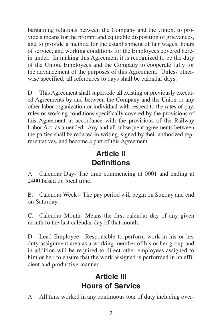<span id="page-5-0"></span>bargaining relations between the Company and the Union, to provide a means for the prompt and equitable disposition of grievances, and to provide a method for the establishment of fair wages, hours of service, and working conditions for the Employees covered herein under. In making this Agreement it is recognized to be the duty of the Union, Employees and the Company to cooperate fully for the advancement of the purposes of this Agreement. Unless otherwise specified, all references to days shall be calendar days.

D. This Agreement shall supersede all existing or previously executed Agreements by and between the Company and the Union or any other labor organization or individual with respect to the rates of pay, rules or working conditions specifically covered by the provisions of this Agreement in accordance with the provisions of the Railway Labor Act, as amended. Any and all subsequent agreements between the parties shall be reduced in writing, signed by their authorized representatives, and become a part of this Agreement.

## **Article II Definitions**

A. Calendar Day- The time commencing at 0001 and ending at 2400 based on local time.

B**.** Calendar Week – The pay period will begin on Sunday and end on Saturday.

C. Calendar Month- Means the first calendar day of any given month to the last calendar day of that month.

D. Lead Employee—Responsible to perform work in his or her duty assignment area as a working member of his or her group and in addition will be required to direct other employees assigned to him or her, to ensure that the work assigned is performed in an efficient and productive manner.

## **Article III Hours of Service**

A. All time worked in any continuous tour of duty including over-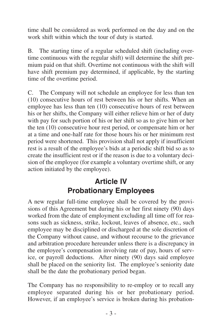<span id="page-6-0"></span>time shall be considered as work performed on the day and on the work shift within which the tour of duty is started.

B. The starting time of a regular scheduled shift (including overtime continuous with the regular shift) will determine the shift premium paid on that shift. Overtime not continuous with the shift will have shift premium pay determined, if applicable, by the starting time of the overtime period.

C. The Company will not schedule an employee for less than ten (10) consecutive hours of rest between his or her shifts. When an employee has less than ten (10) consecutive hours of rest between his or her shifts, the Company will either relieve him or her of duty with pay for such portion of his or her shift so as to give him or her the ten (10) consecutive hour rest period, or compensate him or her at a time and one-half rate for those hours his or her minimum rest period were shortened. This provision shall not apply if insufficient rest is a result of the employee's bids at a periodic shift bid so as to create the insufficient rest or if the reason is due to a voluntary decision of the employee (for example a voluntary overtime shift, or any action initiated by the employee).

### **Article IV Probationary Employees**

A new regular full-time employee shall be covered by the provisions of this Agreement but during his or her first ninety (90) days worked from the date of employment excluding all time off for reasons such as sickness, strike, lockout, leaves of absence, etc., such employee may be disciplined or discharged at the sole discretion of the Company without cause, and without recourse to the grievance and arbitration procedure hereunder unless there is a discrepancy in the employee's compensation involving rate of pay, hours of service, or payroll deductions. After ninety (90) days said employee shall be placed on the seniority list. The employee's seniority date shall be the date the probationary period began.

The Company has no responsibility to re-employ or to recall any employee separated during his or her probationary period. However, if an employee's service is broken during his probation-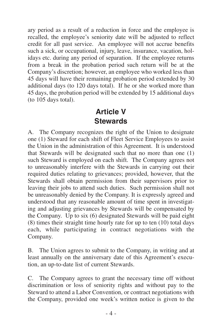<span id="page-7-0"></span>ary period as a result of a reduction in force and the employee is recalled, the employee's seniority date will be adjusted to reflect credit for all past service. An employee will not accrue benefits such a sick, or occupational, injury, leave, insurance, vacation, holidays etc. during any period of separation. If the employee returns from a break in the probation period such return will be at the Company's discretion; however, an employee who worked less than 45 days will have their remaining probation period extended by 30 additional days (to 120 days total). If he or she worked more than 45 days, the probation period will be extended by 15 additional days (to 105 days total).

### **Article V Stewards**

A. The Company recognizes the right of the Union to designate one (1) Steward for each shift of Fleet Service Employees to assist the Union in the administration of this Agreement. It is understood that Stewards will be designated such that no more than one (1) such Steward is employed on each shift. The Company agrees not to unreasonably interfere with the Stewards in carrying out their required duties relating to grievances; provided, however, that the Stewards shall obtain permission from their supervisors prior to leaving their jobs to attend such duties. Such permission shall not be unreasonably denied by the Company. It is expressly agreed and understood that any reasonable amount of time spent in investigating and adjusting grievances by Stewards will be compensated by the Company. Up to six (6) designated Stewards will be paid eight (8) times their straight time hourly rate for up to ten (10) total days each, while participating in contract negotiations with the Company.

B. The Union agrees to submit to the Company, in writing and at least annually on the anniversary date of this Agreement's execution, an up-to-date list of current Stewards.

C. The Company agrees to grant the necessary time off without discrimination or loss of seniority rights and without pay to the Steward to attend a Labor Convention, or contract negotiations with the Company, provided one week's written notice is given to the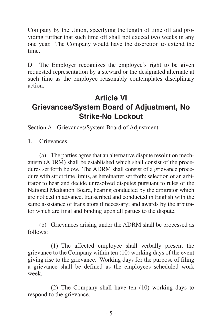<span id="page-8-0"></span>Company by the Union, specifying the length of time off and providing further that such time off shall not exceed two weeks in any one year. The Company would have the discretion to extend the time.

D. The Employer recognizes the employee's right to be given requested representation by a steward or the designated alternate at such time as the employee reasonably contemplates disciplinary action.

## **Article VI Grievances/System Board of Adjustment, No Strike-No Lockout**

Section A. Grievances/System Board of Adjustment:

1. Grievances

(a) The parties agree that an alternative dispute resolution mechanism (ADRM) shall be established which shall consist of the procedures set forth below. The ADRM shall consist of a grievance procedure with strict time limits, as hereinafter set froth; selection of an arbitrator to hear and decide unresolved disputes pursuant to rules of the National Mediation Board, hearing conducted by the arbitrator which are noticed in advance, transcribed and conducted in English with the same assistance of translators if necessary; and awards by the arbitrator which are final and binding upon all parties to the dispute.

(b) Grievances arising under the ADRM shall be processed as follows:

(1) The affected employee shall verbally present the grievance to the Company within ten (10) working days of the event giving rise to the grievance. Working days for the purpose of filing a grievance shall be defined as the employees scheduled work week.

(2) The Company shall have ten (10) working days to respond to the grievance.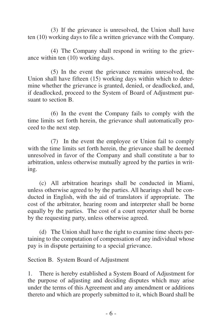(3) If the grievance is unresolved, the Union shall have ten (10) working days to file a written grievance with the Company.

(4) The Company shall respond in writing to the grievance within ten (10) working days.

(5) In the event the grievance remains unresolved, the Union shall have fifteen (15) working days within which to determine whether the grievance is granted, denied, or deadlocked, and, if deadlocked, proceed to the System of Board of Adjustment pursuant to section B.

(6) In the event the Company fails to comply with the time limits set forth herein, the grievance shall automatically proceed to the next step.

(7) In the event the employee or Union fail to comply with the time limits set forth herein, the grievance shall be deemed unresolved in favor of the Company and shall constitute a bar to arbitration, unless otherwise mutually agreed by the parties in writing.

(c) All arbitration hearings shall be conducted in Miami, unless otherwise agreed to by the parties. All hearings shall be conducted in English, with the aid of translators if appropriate. The cost of the arbitrator, hearing room and interpreter shall be borne equally by the parties. The cost of a court reporter shall be borne by the requesting party, unless otherwise agreed.

(d) The Union shall have the right to examine time sheets pertaining to the computation of compensation of any individual whose pay is in dispute pertaining to a special grievance.

Section B. System Board of Adjustment

1. There is hereby established a System Board of Adjustment for the purpose of adjusting and deciding disputes which may arise under the terms of this Agreement and any amendment or additions thereto and which are properly submitted to it, which Board shall be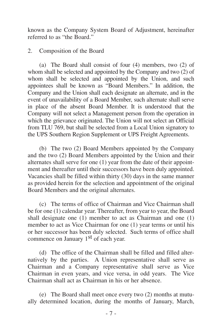known as the Company System Board of Adjustment, hereinafter referred to as "the Board."

2. Composition of the Board

(a) The Board shall consist of four (4) members, two (2) of whom shall be selected and appointed by the Company and two (2) of whom shall be selected and appointed by the Union, and such appointees shall be known as "Board Members." In addition, the Company and the Union shall each designate an alternate, and in the event of unavailability of a Board Member, such alternate shall serve in place of the absent Board Member. It is understood that the Company will not select a Management person from the operation in which the grievance originated. The Union will not select an Official from TLU 769, but shall be selected from a Local Union signatory to the UPS Southern Region Supplement or UPS Freight Agreements.

(b) The two (2) Board Members appointed by the Company and the two (2) Board Members appointed by the Union and their alternates shall serve for one (1) year from the date of their appointment and thereafter until their successors have been duly appointed. Vacancies shall be filled within thirty (30) days in the same manner as provided herein for the selection and appointment of the original Board Members and the original alternates.

(c) The terms of office of Chairman and Vice Chairman shall be for one (1) calendar year. Thereafter, from year to year, the Board shall designate one (1) member to act as Chairman and one (1) member to act as Vice Chairman for one (1) year terms or until his or her successor has been duly selected. Such terms of office shall commence on January 1st of each year.

(d) The office of the Chairman shall be filled and filled alternatively by the parties. A Union representative shall serve as Chairman and a Company representative shall serve as Vice Chairman in even years, and vice versa, in odd years. The Vice Chairman shall act as Chairman in his or her absence.

(e) The Board shall meet once every two (2) months at mutually determined location, during the months of January, March,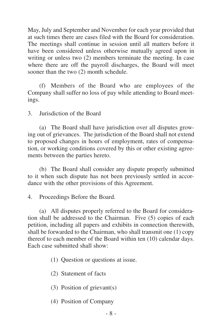May, July and September and November for each year provided that at such times there are cases filed with the Board for consideration. The meetings shall continue in session until all matters before it have been considered unless otherwise mutually agreed upon in writing or unless two (2) members terminate the meeting. In case where there are off the payroll discharges, the Board will meet sooner than the two  $(2)$  month schedule.

(f) Members of the Board who are employees of the Company shall suffer no loss of pay while attending to Board meetings.

3. Jurisdiction of the Board

(a) The Board shall have jurisdiction over all disputes growing out of grievances. The jurisdiction of the Board shall not extend to proposed changes in hours of employment, rates of compensation, or working conditions covered by this or other existing agreements between the parties hereto.

(b) The Board shall consider any dispute properly submitted to it when such dispute has not been previously settled in accordance with the other provisions of this Agreement.

4. Proceedings Before the Board.

(a) All disputes properly referred to the Board for consideration shall be addressed to the Chairman. Five (5) copies of each petition, including all papers and exhibits in connection therewith, shall be forwarded to the Chairman, who shall transmit one (1) copy thereof to each member of the Board within ten (10) calendar days. Each case submitted shall show:

(1) Question or questions at issue.

- (2) Statement of facts
- (3) Position of grievant(s)
- (4) Position of Company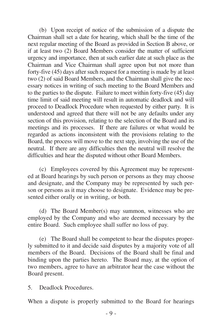(b) Upon receipt of notice of the submission of a dispute the Chairman shall set a date for hearing, which shall be the time of the next regular meeting of the Board as provided in Section B above, or if at least two (2) Board Members consider the matter of sufficient urgency and importance, then at such earlier date at such place as the Chairman and Vice Chairman shall agree upon but not more than forty-five (45) days after such request for a meeting is made by at least two (2) of said Board Members, and the Chairman shall give the necessary notices in writing of such meeting to the Board Members and to the parties to the dispute. Failure to meet within forty-five (45) day time limit of said meeting will result in automatic deadlock and will proceed to Deadlock Procedure when requested by either party. It is understood and agreed that there will not be any defaults under any section of this provision, relating to the selection of the Board and its meetings and its processes. If there are failures or what would be regarded as actions inconsistent with the provisions relating to the Board, the process will move to the next step, involving the use of the neutral. If there are any difficulties then the neutral will resolve the difficulties and hear the disputed without other Board Members.

(c) Employees covered by this Agreement may be represented at Board hearings by such person or persons as they may choose and designate, and the Company may be represented by such person or persons as it may choose to designate. Evidence may be presented either orally or in writing, or both.

(d) The Board Member(s) may summon, witnesses who are employed by the Company and who are deemed necessary by the entire Board. Such employee shall suffer no loss of pay.

(e) The Board shall be competent to hear the disputes properly submitted to it and decide said disputes by a majority vote of all members of the Board. Decisions of the Board shall be final and binding upon the parties hereto. The Board may, at the option of two members, agree to have an arbitrator hear the case without the Board present.

5. Deadlock Procedures.

When a dispute is properly submitted to the Board for hearings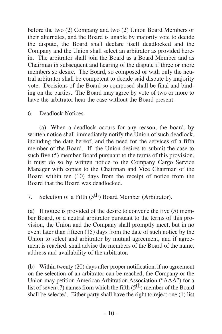before the two (2) Company and two (2) Union Board Members or their alternates, and the Board is unable by majority vote to decide the dispute, the Board shall declare itself deadlocked and the Company and the Union shall select an arbitrator as provided herein. The arbitrator shall join the Board as a Board Member and as Chairman in subsequent and hearing of the dispute if three or more members so desire. The Board, so composed or with only the neutral arbitrator shall be competent to decide said dispute by majority vote. Decisions of the Board so composed shall be final and binding on the parties. The Board may agree by vote of two or more to have the arbitrator hear the case without the Board present.

6. Deadlock Notices.

(a) When a deadlock occurs for any reason, the board, by written notice shall immediately notify the Union of such deadlock, including the date hereof, and the need for the services of a fifth member of the Board. If the Union desires to submit the case to such five (5) member Board pursuant to the terms of this provision, it must do so by written notice to the Company Cargo Service Manager with copies to the Chairman and Vice Chairman of the Board within ten (10) days from the receipt of notice from the Board that the Board was deadlocked.

7. Selection of a Fifth  $(5<sup>th</sup>)$  Board Member (Arbitrator).

(a) If notice is provided of the desire to convene the five (5) member Board, or a neutral arbitrator pursuant to the terms of this provision, the Union and the Company shall promptly meet, but in no event later than fifteen (15) days from the date of such notice by the Union to select and arbitrator by mutual agreement, and if agreement is reached, shall advise the members of the Board of the name, address and availability of the arbitrator.

(b) Within twenty (20) days after proper notification, if no agreement on the selection of an arbitrator can be reached, the Company or the Union may petition American Arbitration Association ("AAA") for a list of seven  $(7)$  names from which the fifth  $(5<sup>th</sup>)$  member of the Board shall be selected. Either party shall have the right to reject one (1) list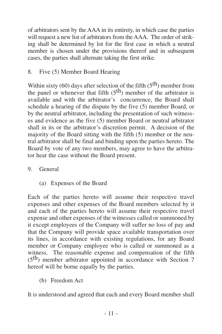of arbitrators sent by the AAA in its entirety, in which case the parties will request a new list of arbitrators from the AAA. The order of striking shall be determined by lot for the first case in which a neutral member is chosen under the provisions thereof and in subsequent cases, the parties shall alternate taking the first strike.

8. Five (5) Member Board Hearing

Within sixty (60) days after selection of the fifth  $(5<sup>th</sup>)$  member from the panel or whenever that fifth  $(5<sup>th</sup>)$  member of the arbitrator is available and with the arbitrator's concurrence, the Board shall schedule a hearing of the dispute by the five (5) member Board, or by the neutral arbitrator, including the presentation of such witnesses and evidence as the five (5) member Board or neutral arbitrator shall in its or the arbitrator's discretion permit. A decision of the majority of the Board sitting with the fifth (5) member or the neutral arbitrator shall be final and binding upon the parties hereto. The Board by vote of any two members, may agree to have the arbitrator hear the case without the Board present.

- 9. General
	- (a) Expenses of the Board

Each of the parties hereto will assume their respective travel expenses and other expenses of the Board members selected by it and each of the parties hereto will assume their respective travel expense and other expenses of the witnesses called or summoned by it except employees of the Company will suffer no loss of pay and that the Company will provide space available transportation over its lines, in accordance with existing regulations, for any Board member or Company employee who is called or summoned as a witness. The reasonable expense and compensation of the fifth  $(5<sup>th</sup>)$  member arbitrator appointed in accordance with Section 7 hereof will be borne equally by the parties.

(b) Freedom Act

It is understood and agreed that each and every Board member shall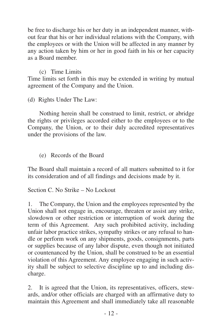be free to discharge his or her duty in an independent manner, without fear that his or her individual relations with the Company, with the employees or with the Union will be affected in any manner by any action taken by him or her in good faith in his or her capacity as a Board member.

#### (c) Time Limits

Time limits set forth in this may be extended in writing by mutual agreement of the Company and the Union.

(d) Rights Under The Law:

Nothing herein shall be construed to limit, restrict, or abridge the rights or privileges accorded either to the employees or to the Company, the Union, or to their duly accredited representatives under the provisions of the law.

(e) Records of the Board

The Board shall maintain a record of all matters submitted to it for its consideration and of all findings and decisions made by it.

Section C. No Strike – No Lockout

The Company, the Union and the employees represented by the Union shall not engage in, encourage, threaten or assist any strike, slowdown or other restriction or interruption of work during the term of this Agreement. Any such prohibited activity, including unfair labor practice strikes, sympathy strikes or any refusal to handle or perform work on any shipments, goods, consignments, parts or supplies because of any labor dispute, even though not initiated or countenanced by the Union, shall be construed to be an essential violation of this Agreement. Any employee engaging in such activity shall be subject to selective discipline up to and including discharge.

2. It is agreed that the Union, its representatives, officers, stewards, and/or other officials are charged with an affirmative duty to maintain this Agreement and shall immediately take all reasonable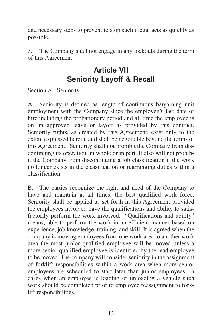<span id="page-16-0"></span>and necessary steps to prevent to stop such illegal acts as quickly as possible.

3. The Company shall not engage in any lockouts during the term of this Agreement.

## **Article VII Seniority Layoff & Recall**

Section A. Seniority

A. Seniority is defined as length of continuous bargaining unit employment with the Company since the employee's last date of hire including the probationary period and all time the employee is on an approved leave or layoff as provided by this contract. Seniority rights, as created by this Agreement, exist only to the extent expressed herein, and shall be negotiable beyond the terms of this Agreement. Seniority shall not prohibit the Company from discontinuing its operation, in whole or in part. It also will not prohibit the Company from discontinuing a job classification if the work no longer exists in the classification or rearranging duties within a classification.

B. The parties recognize the right and need of the Company to have and maintain at all times, the best qualified work force. Seniority shall be applied as set forth in this Agreement provided the employees involved have the qualifications and ability to satisfactorily perform the work involved. "Qualifications and ability" means, able to perform the work in an efficient manner based on experience, job knowledge, training, and skill. It is agreed when the company is moving employees from one work area to another work area the most junior qualified employee will be moved unless a more senior qualified employee is identified by the lead employee to be moved. The company will consider seniority in the assignment of forklift responsibilities within a work area when more senior employees are scheduled to start later than junior employees. In cases when an employee is loading or unloading a vehicle such work should be completed prior to employee reassignment to forklift responsibilities.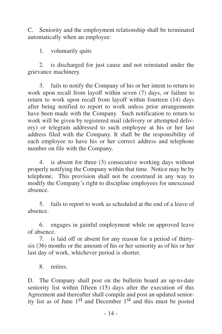C. Seniority and the employment relationship shall be terminated automatically when an employee:

1. voluntarily quits

2. is discharged for just cause and not reinstated under the grievance machinery.

3. fails to notify the Company of his or her intent to return to work upon recall from layoff within seven (7) days, or failure to return to work upon recall from layoff within fourteen (14) days after being notified to report to work unless prior arrangements have been made with the Company. Such notification to return to work will be given by registered mail (delivery or attempted delivery) or telegram addressed to such employee at his or her last address filed with the Company. It shall be the responsibility of each employee to have his or her correct address and telephone number on file with the Company.

4. is absent for three (3) consecutive working days without properly notifying the Company within that time. Notice may be by telephone. This provision shall not be construed in any way to modify the Company's right to discipline employees for unexcused absence.

5. fails to report to work as scheduled at the end of a leave of absence.

6. engages in gainful employment while on approved leave of absence.

7. is laid off or absent for any reason for a period of thirtysix (36) months or the amount of his or her seniority as of his or her last day of work, whichever period is shorter.

8. retires.

D. The Company shall post on the bulletin board an up-to-date seniority list within fifteen (15) days after the execution of this Agreement and thereafter shall compile and post an updated seniority list as of June 1st and December 1st and this must be posted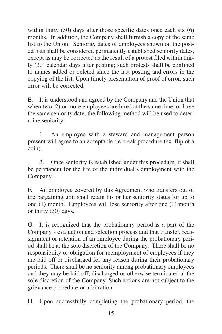within thirty (30) days after those specific dates once each six (6) months. In addition, the Company shall furnish a copy of the same list to the Union. Seniority dates of employees shown on the posted lists shall be considered permanently established seniority dates, except as may be corrected as the result of a protest filed within thirty (30) calendar days after posting; such protests shall be confined to names added or deleted since the last posting and errors in the copying of the list. Upon timely presentation of proof of error, such error will be corrected.

E. It is understood and agreed by the Company and the Union that when two (2) or more employees are hired at the same time, or have the same seniority date, the following method will be used to determine seniority:

1. An employee with a steward and management person present will agree to an acceptable tie break procedure (ex. flip of a coin).

2. Once seniority is established under this procedure, it shall be permanent for the life of the individual's employment with the Company.

F. An employee covered by this Agreement who transfers out of the bargaining unit shall retain his or her seniority status for up to one (1) month. Employees will lose seniority after one (1) month or thirty (30) days.

G. It is recognized that the probationary period is a part of the Company's evaluation and selection process and that transfer, reassignment or retention of an employee during the probationary period shall be at the sole discretion of the Company. There shall be no responsibility or obligation for reemployment of employees if they are laid off or discharged for any reason during their probationary periods. There shall be no seniority among probationary employees and they may be laid off, discharged or otherwise terminated at the sole discretion of the Company. Such actions are not subject to the grievance procedure or arbitration.

H. Upon successfully completing the probationary period, the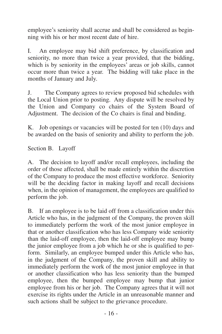employee's seniority shall accrue and shall be considered as beginning with his or her most recent date of hire.

I. An employee may bid shift preference, by classification and seniority, no more than twice a year provided, that the bidding, which is by seniority in the employees' areas or job skills, cannot occur more than twice a year. The bidding will take place in the months of January and July.

J. The Company agrees to review proposed bid schedules with the Local Union prior to posting. Any dispute will be resolved by the Union and Company co chairs of the System Board of Adjustment. The decision of the Co chairs is final and binding.

K. Job openings or vacancies will be posted for ten (10) days and be awarded on the basis of seniority and ability to perform the job.

Section B. Layoff

A. The decision to layoff and/or recall employees, including the order of those affected, shall be made entirely within the discretion of the Company to produce the most effective workforce. Seniority will be the deciding factor in making layoff and recall decisions when, in the opinion of management, the employees are qualified to perform the job.

B. If an employee is to be laid off from a classification under this Article who has, in the judgment of the Company, the proven skill to immediately perform the work of the most junior employee in that or another classification who has less Company wide seniority than the laid-off employee, then the laid-off employee may bump the junior employee from a job which he or she is qualified to perform. Similarly, an employee bumped under this Article who has, in the judgment of the Company, the proven skill and ability to immediately perform the work of the most junior employee in that or another classification who has less seniority than the bumped employee, then the bumped employee may bump that junior employee from his or her job. The Company agrees that it will not exercise its rights under the Article in an unreasonable manner and such actions shall be subject to the grievance procedure.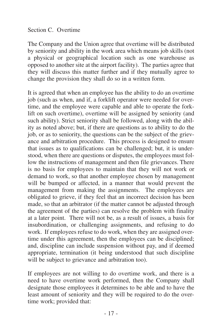Section C. Overtime

The Company and the Union agree that overtime will be distributed by seniority and ability in the work area which means job skills (not a physical or geographical location such as one warehouse as opposed to another site at the airport facility). The parties agree that they will discuss this matter further and if they mutually agree to change the provision they shall do so in a written form.

It is agreed that when an employee has the ability to do an overtime job (such as when, and if, a forklift operator were needed for overtime, and the employee were capable and able to operate the forklift on such overtime), overtime will be assigned by seniority (and such ability). Strict seniority shall be followed, along with the ability as noted above; but, if there are questions as to ability to do the job, or as to seniority, the questions can be the subject of the grievance and arbitration procedure. This process is designed to ensure that issues as to qualifications can be challenged; but, it is understood, when there are questions or disputes, the employees must follow the instructions of management and then file grievances. There is no basis for employees to maintain that they will not work or demand to work, so that another employee chosen by management will be bumped or affected, in a manner that would prevent the management from making the assignments. The employees are obligated to grieve, if they feel that an incorrect decision has been made, so that an arbitrator (if the matter cannot be adjusted through the agreement of the parties) can resolve the problem with finality at a later point. There will not be, as a result of issues, a basis for insubordination, or challenging assignments, and refusing to do work. If employees refuse to do work, when they are assigned overtime under this agreement, then the employees can be disciplined; and, discipline can include suspension without pay, and if deemed appropriate, termination (it being understood that such discipline will be subject to grievance and arbitration too).

If employees are not willing to do overtime work, and there is a need to have overtime work performed, then the Company shall designate those employees it determines to be able and to have the least amount of seniority and they will be required to do the overtime work; provided that: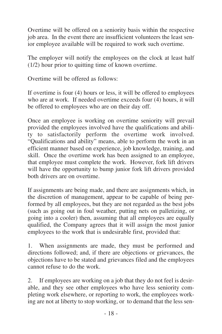Overtime will be offered on a seniority basis within the respective job area. In the event there are insufficient volunteers the least senior employee available will be required to work such overtime.

The employer will notify the employees on the clock at least half (1/2) hour prior to quitting time of known overtime.

Overtime will be offered as follows:

If overtime is four (4) hours or less, it will be offered to employees who are at work. If needed overtime exceeds four (4) hours, it will be offered to employees who are on their day off.

Once an employee is working on overtime seniority will prevail provided the employees involved have the qualifications and ability to satisfactorily perform the overtime work involved. "Qualifications and ability" means, able to perform the work in an efficient manner based on experience, job knowledge, training, and skill. Once the overtime work has been assigned to an employee, that employee must complete the work. However, fork lift drivers will have the opportunity to bump junior fork lift drivers provided both drivers are on overtime.

If assignments are being made, and there are assignments which, in the discretion of management, appear to be capable of being performed by all employees, but they are not regarded as the best jobs (such as going out in foul weather, putting nets on palletizing, or going into a cooler) then, assuming that all employees are equally qualified, the Company agrees that it will assign the most junior employees to the work that is undesirable first, provided that:

1. When assignments are made, they must be performed and directions followed; and, if there are objections or grievances, the objections have to be stated and grievances filed and the employees cannot refuse to do the work.

2. If employees are working on a job that they do not feel is desirable, and they see other employees who have less seniority completing work elsewhere, or reporting to work, the employees working are not at liberty to stop working, or to demand that the less sen-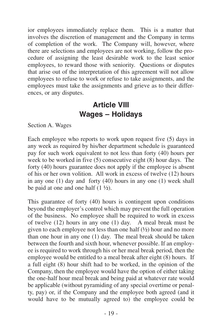<span id="page-22-0"></span>ior employees immediately replace them. This is a matter that involves the discretion of management and the Company in terms of completion of the work. The Company will, however, where there are selections and employees are not working, follow the procedure of assigning the least desirable work to the least senior employees, to reward those with seniority. Questions or disputes that arise out of the interpretation of this agreement will not allow employees to refuse to work or refuse to take assignments, and the employees must take the assignments and grieve as to their differences, or any disputes.

### **Article VIII Wages – Holidays**

Section A. Wages

Each employee who reports to work upon request five (5) days in any week as required by his/her department schedule is guaranteed pay for such work equivalent to not less than forty (40) hours per week to be worked in five (5) consecutive eight (8) hour days. The forty (40) hours guarantee does not apply if the employee is absent of his or her own volition. All work in excess of twelve (12) hours in any one (1) day and forty (40) hours in any one (1) week shall be paid at one and one half  $(1 \frac{1}{2})$ .

This guarantee of forty (40) hours is contingent upon conditions beyond the employer's control which may prevent the full operation of the business. No employee shall be required to work in excess of twelve  $(12)$  hours in any one  $(1)$  day. A meal break must be given to each employee not less than one half  $(1/2)$  hour and no more than one hour in any one (1) day. The meal break should be taken between the fourth and sixth hour, whenever possible. If an employee is required to work through his or her meal break period, then the employee would be entitled to a meal break after eight (8) hours. If a full eight (8) hour shift had to be worked, in the opinion of the Company, then the employee would have the option of either taking the one-half hour meal break and being paid at whatever rate would be applicable (without pyramiding of any special overtime or penalty, pay) or, if the Company and the employee both agreed (and it would have to be mutually agreed to) the employee could be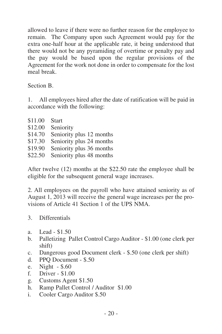allowed to leave if there were no further reason for the employee to remain. The Company upon such Agreement would pay for the extra one-half hour at the applicable rate, it being understood that there would not be any pyramiding of overtime or penalty pay and the pay would be based upon the regular provisions of the Agreement for the work not done in order to compensate for the lost meal break.

Section B.

1. All employees hired after the date of ratification will be paid in accordance with the following:

| \$11.00 | <b>Start</b>             |
|---------|--------------------------|
| \$12.00 | Seniority                |
| \$14.70 | Seniority plus 12 months |
| \$17.30 | Seniority plus 24 months |
| \$19.90 | Seniority plus 36 months |
| \$22.50 | Seniority plus 48 months |
|         |                          |

After twelve (12) months at the \$22.50 rate the employee shall be eligible for the subsequent general wage increases.

2. All employees on the payroll who have attained seniority as of August 1, 2013 will receive the general wage increases per the provisions of Article 41 Section 1 of the UPS NMA.

3. Differentials

- a. Lead \$1.50
- b. Palletizing Pallet Control Cargo Auditor \$1.00 (one clerk per shift)
- c. Dangerous good Document clerk \$.50 (one clerk per shift)
- d. PPQ Document \$.50
- e. Night \$.60
- f. Driver \$1.00
- g. Customs Agent \$1.50
- h. Ramp Pallet Control / Auditor \$1.00
- i. Cooler Cargo Auditor \$.50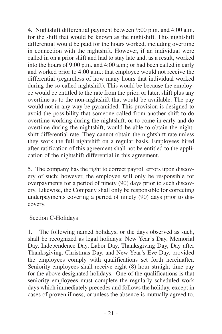4. Nightshift differential payment between 9:00 p.m. and 4:00 a.m. for the shift that would be known as the nightshift. This nightshift differential would be paid for the hours worked, including overtime in connection with the nightshift. However, if an individual were called in on a prior shift and had to stay late and, as a result, worked into the hours of 9:00 p.m. and 4:00 a.m.; or had been called in early and worked prior to 4:00 a.m.; that employee would not receive the differential (regardless of how many hours that individual worked during the so-called nightshift). This would be because the employee would be entitled to the rate from the prior, or later, shift plus any overtime as to the non-nightshift that would be available. The pay would not in any way be pyramided. This provision is designed to avoid the possibility that someone called from another shift to do overtime working during the nightshift, or to come in early and do overtime during the nightshift, would be able to obtain the nightshift differential rate. They cannot obtain the nightshift rate unless they work the full nightshift on a regular basis. Employees hired after ratification of this agreement shall not be entitled to the application of the nightshift differential in this agreement.

5. The company has the right to correct payroll errors upon discovery of such; however, the employee will only be responsible for overpayments for a period of ninety (90) days prior to such discovery. Likewise, the Company shall only be responsible for correcting underpayments covering a period of ninety (90) days prior to discovery.

#### Section C-Holidays

1. The following named holidays, or the days observed as such, shall be recognized as legal holidays: New Year's Day, Memorial Day, Independence Day, Labor Day, Thanksgiving Day, Day after Thanksgiving, Christmas Day, and New Year's Eve Day, provided the employees comply with qualifications set forth hereinafter. Seniority employees shall receive eight (8) hour straight time pay for the above designated holidays. One of the qualifications is that seniority employees must complete the regularly scheduled work days which immediately precedes and follows the holiday, except in cases of proven illness, or unless the absence is mutually agreed to.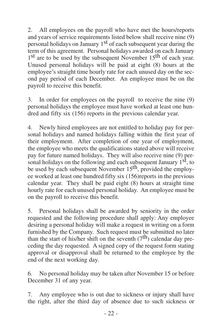2. All employees on the payroll who have met the hours/reports and years of service requirements listed below shall receive nine (9) personal holidays on January 1st of each subsequent year during the term of this agreement. Personal holidays awarded on each January  $1<sup>st</sup>$  are to be used by the subsequent November  $15<sup>th</sup>$  of each year. Unused personal holidays will be paid at eight (8) hours at the employee's straight time hourly rate for each unused day on the second pay period of each December. An employee must be on the payroll to receive this benefit.

3. In order for employees on the payroll to receive the nine (9) personal holidays the employee must have worked at least one hundred and fifty six (156) reports in the previous calendar year.

4. Newly hired employees are not entitled to holiday pay for personal holidays and named holidays falling within the first year of their employment. After completion of one year of employment, the employee who meets the qualifications stated above will receive pay for future named holidays. They will also receive nine (9) personal holidays on the following and each subsequent January  $1<sup>st</sup>$ , to be used by each subsequent November 15<sup>th</sup>, provided the employee worked at least one hundred fifty six (156)reports in the previous calendar year. They shall be paid eight (8) hours at straight time hourly rate for each unused personal holiday. An employee must be on the payroll to receive this benefit.

5. Personal holidays shall be awarded by seniority in the order requested and the following procedure shall apply: Any employee desiring a personal holiday will make a request in writing on a form furnished by the Company. Such request must be submitted no later than the start of his/her shift on the seventh  $(7<sup>th</sup>)$  calendar day preceding the day requested. A signed copy of the request form stating approval or disapproval shall be returned to the employee by the end of the next working day.

6. No personal holiday may be taken after November 15 or before December 31 of any year.

7. Any employee who is out due to sickness or injury shall have the right, after the third day of absence due to such sickness or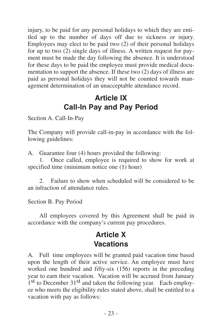<span id="page-26-0"></span>injury, to be paid for any personal holidays to which they are entitled up to the number of days off due to sickness or injury. Employees may elect to be paid two (2) of their personal holidays for up to two (2) single days of illness. A written request for payment must be made the day following the absence. It is understood for these days to be paid the employee must provide medical documentation to support the absence. If these two (2) days of illness are paid as personal holidays they will not be counted towards management determination of an unacceptable attendance record.

## **Article IX Call-In Pay and Pay Period**

Section A. Call-In-Pay

The Company will provide call-in-pay in accordance with the following guidelines:

A. Guarantee four (4) hours provided the following:

1. Once called, employee is required to show for work at specified time (minimum notice one (1) hour)

2. Failure to show when scheduled will be considered to be an infraction of attendance rules.

Section B. Pay Period

All employees covered by this Agreement shall be paid in accordance with the company's current pay procedures.

### **Article X Vacations**

A. Full time employees will be granted paid vacation time based upon the length of their active service. An employee must have worked one hundred and fifty-six (156) reports in the preceding year to earn their vacation. Vacation will be accrued from January  $1<sup>st</sup>$  to December  $31<sup>st</sup>$  and taken the following year. Each employee who meets the eligibility rules stated above, shall be entitled to a vacation with pay as follows: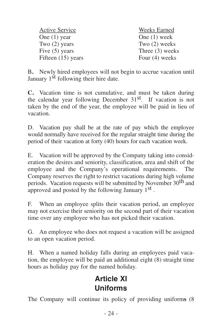<span id="page-27-0"></span>

| Active Service     | Weeks Earned    |
|--------------------|-----------------|
| One (1) year       | One $(1)$ week  |
| Two $(2)$ years    | Two $(2)$ weeks |
| Five (5) years     | Three (3) weeks |
| Fifteen (15) years | Four (4) weeks  |

B**.** Newly hired employees will not begin to accrue vacation until January  $1<sup>st</sup>$  following their hire date.

**C.** Vacation time is not cumulative, and must be taken during the calendar year following December 31<sup>st</sup>. If vacation is not taken by the end of the year, the employee will be paid in lieu of vacation.

D. Vacation pay shall be at the rate of pay which the employee would normally have received for the regular straight time during the period of their vacation at forty (40) hours for each vacation week.

E. Vacation will be approved by the Company taking into consideration the desires and seniority, classification, area and shift of the employee and the Company's operational requirements. The Company reserves the right to restrict vacations during high volume periods. Vacation requests will be submitted by November 30<sup>th</sup> and approved and posted by the following January 1st.

F. When an employee splits their vacation period, an employee may not exercise their seniority on the second part of their vacation time over any employee who has not picked their vacation.

G. An employee who does not request a vacation will be assigned to an open vacation period.

H. When a named holiday falls during an employees paid vacation, the employee will be paid an additional eight (8) straight time hours as holiday pay for the named holiday.

### **Article XI Uniforms**

The Company will continue its policy of providing uniform**s** (8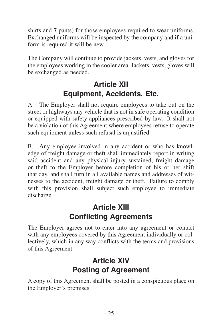<span id="page-28-0"></span>shirts and **7** pants) for those employees required to wear uniforms. Exchanged uniforms will be inspected by the company and if a uniform is required it will be new.

The Company will continue to provide jackets, vests, and gloves for the employees working in the cooler area. Jackets, vests, gloves will be exchanged as needed.

# **Article XII Equipment, Accidents, Etc.**

A. The Employer shall not require employees to take out on the street or highways any vehicle that is not in safe operating condition or equipped with safety appliances prescribed by law. It shall not be a violation of this Agreement where employees refuse to operate such equipment unless such refusal is unjustified.

B. Any employee involved in any accident or who has knowledge of freight damage or theft shall immediately report in writing said accident and any physical injury sustained, freight damage or theft to the Employer before completion of his or her shift that day, and shall turn in all available names and addresses of witnesses to the accident, freight damage or theft. Failure to comply with this provision shall subject such employee to immediate discharge.

## **Article XIII Conflicting Agreements**

The Employer agrees not to enter into any agreement or contact with any employees covered by this Agreement individually or collectively, which in any way conflicts with the terms and provisions of this Agreement.

# **Article XIV Posting of Agreement**

A copy of this Agreement shall be posted in a conspicuous place on the Employer's premises.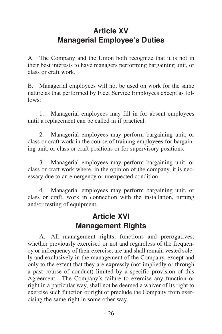# <span id="page-29-0"></span>**Article XV Managerial Employee's Duties**

A. The Company and the Union both recognize that it is not in their best interests to have managers performing bargaining unit, or class or craft work.

B. Managerial employees will not be used on work for the same nature as that performed by Fleet Service Employees except as follows:

1. Managerial employees may fill in for absent employees until a replacement can be called in if practical.

2. Managerial employees may perform bargaining unit, or class or craft work in the course of training employees for bargaining unit, or class or craft positions or for supervisory positions.

3. Managerial employees may perform bargaining unit, or class or craft work where, in the opinion of the company, it is necessary due to an emergency or unexpected condition.

4. Managerial employees may perform bargaining unit, or class or craft, work in connection with the installation, turning and/or testing of equipment.

### **Article XVI Management Rights**

A. All management rights, functions and prerogatives, whether previously exercised or not and regardless of the frequency or infrequency of their exercise, are and shall remain vested solely and exclusively in the management of the Company, except and only to the extent that they are expressly (not impliedly or through a past course of conduct) limited by a specific provision of this Agreement. The Company's failure to exercise any function or right in a particular way, shall not be deemed a waiver of its right to exercise such function or right or preclude the Company from exercising the same right in some other way.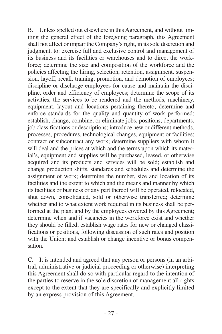B. Unless spelled out elsewhere in this Agreement, and without limiting the general effect of the foregoing paragraph, this Agreement shall not affect or impair the Company's right, in its sole discretion and judgment, to: exercise full and exclusive control and management of its business and its facilities or warehouses and to direct the workforce; determine the size and composition of the workforce and the policies affecting the hiring, selection, retention, assignment, suspension, layoff, recall, training, promotion, and demotion of employees; discipline or discharge employees for cause and maintain the discipline, order and efficiency of employees; determine the scope of its activities, the services to be rendered and the methods, machinery, equipment, layout and locations pertaining thereto; determine and enforce standards for the quality and quantity of work performed; establish, change, combine, or eliminate jobs, positions, departments, job classifications or descriptions; introduce new or different methods, processes, procedures, technological changes, equipment or facilities; contract or subcontract any work; determine suppliers with whom it will deal and the prices at which and the terms upon which its material's, equipment and supplies will be purchased, leased, or otherwise acquired and its products and services will be sold; establish and change production shifts, standards and schedules and determine the assignment of work; determine the number, size and location of its facilities and the extent to which and the means and manner by which its facilities or business or any part thereof will be operated, relocated, shut down, consolidated, sold or otherwise transferred; determine whether and to what extent work required in its business shall be performed at the plant and by the employees covered by this Agreement; determine when and if vacancies in the workforce exist and whether they should be filled; establish wage rates for new or changed classifications or positions, following discussion of such rates and position with the Union; and establish or change incentive or bonus compensation.

C. It is intended and agreed that any person or persons (in an arbitral, administrative or judicial proceeding or otherwise) interpreting this Agreement shall do so with particular regard to the intention of the parties to reserve in the sole discretion of management all rights except to the extent that they are specifically and explicitly limited by an express provision of this Agreement.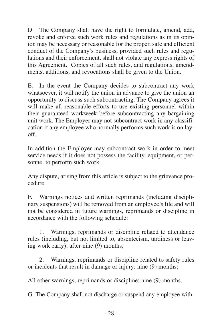D. The Company shall have the right to formulate, amend, add, revoke and enforce such work rules and regulations as in its opinion may be necessary or reasonable for the proper, safe and efficient conduct of the Company's business, provided such rules and regulations and their enforcement, shall not violate any express rights of this Agreement. Copies of all such rules, and regulations, amendments, additions, and revocations shall be given to the Union.

E. In the event the Company decides to subcontract any work whatsoever, it will notify the union in advance to give the union an opportunity to discuss such subcontracting. The Company agrees it will make all reasonable efforts to use existing personnel within their guaranteed workweek before subcontracting any bargaining unit work. The Employer may not subcontract work in any classification if any employee who normally performs such work is on layoff.

In addition the Employer may subcontract work in order to meet service needs if it does not possess the facility, equipment, or personnel to perform such work.

Any dispute, arising from this article is subject to the grievance procedure.

F. Warnings notices and written reprimands (including disciplinary suspensions) will be removed from an employee's file and will not be considered in future warnings, reprimands or discipline in accordance with the following schedule:

1. Warnings, reprimands or discipline related to attendance rules (including, but not limited to, absenteeism, tardiness or leaving work early); after nine (9) months;

2. Warnings, reprimands or discipline related to safety rules or incidents that result in damage or injury: nine (9) months;

All other warnings, reprimands or discipline: nine (9) months.

G. The Company shall not discharge or suspend any employee with-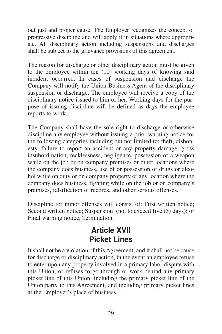<span id="page-32-0"></span>out just and proper cause. The Employer recognizes the concept of progressive discipline and will apply it in situations where appropriate. All disciplinary action including suspensions and discharges shall be subject to the grievance provisions of this agreement.

The reason for discharge or other disciplinary action must be given to the employee within ten (10) working days of knowing said incident occurred. In cases of suspension and discharge the Company will notify the Union Business Agent of the disciplinary suspension or discharge. The employee will receive a copy of the disciplinary notice issued to him or her. Working days for the purpose of issuing discipline will be defined as days the employee reports to work.

The Company shall have the sole right to discharge or otherwise discipline any employee without issuing a prior warning notice for the following categories including but not limited to: theft, dishonesty, failure to report an accident or any property damage, gross insubordination, recklessness, negligence, possession of a weapon while on the job or on company premises or other locations where the company does business, use of or possession of drugs or alcohol while on duty or on company property or any location where the company does business, fighting while on the job or on company's premises, falsification of records, and other serious offenses.

Discipline for minor offenses will consist of: First written notice; Second written notice; Suspension (not to exceed five (5) days); or Final warning notice, Termination.

### **Article XVII Picket Lines**

It shall not be a violation of this Agreement, and it shall not be cause for discharge or disciplinary action, in the event an employee refuse to enter upon any property involved in a primary labor dispute with this Union, or refuses to go through or work behind any primary picket line of this Union, including the primary picket line of the Union party to this Agreement, and including primary picket lines at the Employer's place of business.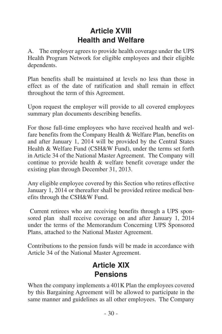# **Article XVIII Health and Welfare**

<span id="page-33-0"></span>A. The employer agrees to provide health coverage under the UPS Health Program Network for eligible employees and their eligible dependents.

Plan benefits shall be maintained at levels no less than those in effect as of the date of ratification and shall remain in effect throughout the term of this Agreement.

Upon request the employer will provide to all covered employees summary plan documents describing benefits.

For those full-time employees who have received health and welfare benefits from the Company Health & Welfare Plan, benefits on and after January 1, 2014 will be provided by the Central States Health & Welfare Fund (CSH&W Fund), under the terms set forth in Article 34 of the National Master Agreement. The Company will continue to provide health & welfare benefit coverage under the existing plan through December 31, 2013.

Any eligible employee covered by this Section who retires effective January 1, 2014 or thereafter shall be provided retiree medical benefits through the CSH&W Fund.

Current retirees who are receiving benefits through a UPS sponsored plan shall receive coverage on and after January 1, 2014 under the terms of the Memorandum Concerning UPS Sponsored Plans, attached to the National Master Agreement.

Contributions to the pension funds will be made in accordance with Article 34 of the National Master Agreement.

### **Article XIX Pensions**

When the company implements a 401K Plan the employees covered by this Bargaining Agreement will be allowed to participate in the same manner and guidelines as all other employees. The Company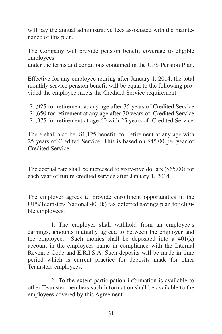will pay the annual administrative fees associated with the maintenance of this plan.

The Company will provide pension benefit coverage to eligible employees under the terms and conditions contained in the UPS Pension Plan.

Effective for any employee retiring after January 1, 2014, the total monthly service pension benefit will be equal to the following provided the employee meets the Credited Service requirement.

\$1,925 for retirement at any age after 35 years of Credited Service \$1,650 for retirement at any age after 30 years of Credited Service \$1,375 for retirement at age 60 with 25 years of Credited Service

There shall also be \$1,125 benefit for retirement at any age with 25 years of Credited Service. This is based on \$45.00 per year of Credited Service.

The accrual rate shall be increased to sixty-five dollars (\$65.00) for each year of future credited service after January 1, 2014.

The employer agrees to provide enrollment opportunities in the UPS/Teamsters National 401(k) tax deferred savings plan for eligible employees.

1. The employer shall withhold from an employee's earnings, amounts mutually agreed to between the employer and the employee. Such monies shall be deposited into a 401(k) account in the employees name in compliance with the Internal Revenue Code and E.R.I.S.A. Such deposits will be made in time period which is current practice for deposits made for other Teamsters employees.

2. To the extent participation information is available to other Teamster members such information shall be available to the employees covered by this Agreement.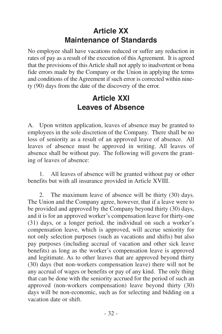# **Article XX Maintenance of Standards**

<span id="page-35-0"></span>No employee shall have vacations reduced or suffer any reduction in rates of pay as a result of the execution of this Agreement. It is agreed that the provisions of this Article shall not apply to inadvertent or bona fide errors made by the Company or the Union in applying the terms and conditions of the Agreement if such error is corrected within ninety (90) days from the date of the discovery of the error.

### **Article XXI Leaves of Absence**

A. Upon written application, leaves of absence may be granted to employees in the sole discretion of the Company. There shall be no loss of seniority as a result of an approved leave of absence. All leaves of absence must be approved in writing. All leaves of absence shall be without pay. The following will govern the granting of leaves of absence:

1. All leaves of absence will be granted without pay or other benefits but with all insurance provided in Article XVIII.

2. The maximum leave of absence will be thirty (30) days. The Union and the Company agree, however, that if a leave were to be provided and approved by the Company beyond thirty (30) days, and it is for an approved worker's compensation leave for thirty-one (31) days, or a longer period, the individual on such a worker's compensation leave, which is approved, will accrue seniority for not only selection purposes (such as vacations and shifts) but also pay purposes (including accrual of vacation and other sick leave benefits) as long as the worker's compensation leave is approved and legitimate. As to other leaves that are approved beyond thirty (30) days (but non-workers compensation leave) there will not be any accrual of wages or benefits or pay of any kind. The only thing that can be done with the seniority accrued for the period of such an approved (non-workers compensation) leave beyond thirty (30) days will be non-economic, such as for selecting and bidding on a vacation date or shift.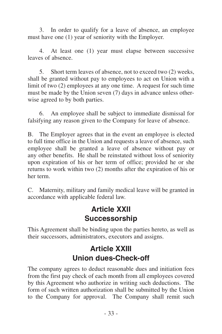<span id="page-36-0"></span>3. In order to qualify for a leave of absence, an employee must have one (1) year of seniority with the Employer.

4. At least one (1) year must elapse between successive leaves of absence.

5. Short term leaves of absence, not to exceed two (2) weeks, shall be granted without pay to employees to act on Union with a limit of two (2) employees at any one time. A request for such time must be made by the Union seven (7) days in advance unless otherwise agreed to by both parties.

6. An employee shall be subject to immediate dismissal for falsifying any reason given to the Company for leave of absence.

B. The Employer agrees that in the event an employee is elected to full time office in the Union and requests a leave of absence, such employee shall be granted a leave of absence without pay or any other benefits. He shall be reinstated without loss of seniority upon expiration of his or her term of office; provided he or she returns to work within two (2) months after the expiration of his or her term.

C. Maternity, military and family medical leave will be granted in accordance with applicable federal law.

#### **Article XXII Successorship**

This Agreement shall be binding upon the parties hereto, as well as their successors, administrators, executors and assigns.

### **Article XXIII Union dues-Check-off**

The company agrees to deduct reasonable dues and initiation fees from the first pay check of each month from all employees covered by this Agreement who authorize in writing such deductions. The form of such written authorization shall be submitted by the Union to the Company for approval. The Company shall remit such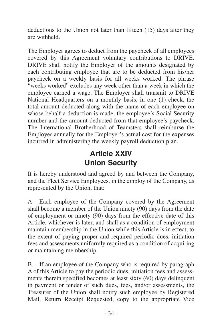<span id="page-37-0"></span>deductions to the Union not later than fifteen (15) days after they are withheld.

The Employer agrees to deduct from the paycheck of all employees covered by this Agreement voluntary contributions to DRIVE. DRIVE shall notify the Employer of the amounts designated by each contributing employee that are to be deducted from his/her paycheck on a weekly basis for all weeks worked. The phrase "weeks worked" excludes any week other than a week in which the employee earned a wage. The Employer shall transmit to DRIVE National Headquarters on a monthly basis, in one (1) check, the total amount deducted along with the name of each employee on whose behalf a deduction is made, the employee's Social Security number and the amount deducted from that employee's paycheck. The International Brotherhood of Teamsters shall reimburse the Employer annually for the Employer's actual cost for the expenses incurred in administering the weekly payroll deduction plan.

# **Article XXIV Union Security**

It is hereby understood and agreed by and between the Company, and the Fleet Service Employees, in the employ of the Company, as represented by the Union, that:

A. Each employee of the Company covered by the Agreement shall become a member of the Union ninety (90) days from the date of employment or ninety (90) days from the effective date of this Article, whichever is later, and shall as a condition of employment maintain membership in the Union while this Article is in effect, to the extent of paying proper and required periodic dues, initiation fees and assessments uniformly required as a condition of acquiring or maintaining membership.

B. If an employee of the Company who is required by paragraph A of this Article to pay the periodic dues, initiation fees and assessments therein specified becomes at least sixty (60) days delinquent in payment or tender of such dues, fees, and/or assessments, the Treasurer of the Union shall notify such employee by Registered Mail, Return Receipt Requested, copy to the appropriate Vice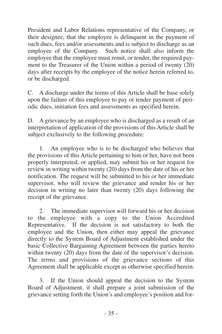President and Labor Relations representative of the Company, or their designee, that the employee is delinquent in the payment of such dues, fees and/or assessments and is subject to discharge as an employee of the Company. Such notice shall also inform the employee that the employee must remit, or tender, the required payment to the Treasurer of the Union within a period of twenty (20) days after receipts by the employee of the notice herein referred to, or be discharged.

C. A discharge under the terms of this Article shall be base solely upon the failure of this employee to pay or tender payment of periodic dues, initiation fees and assessments as specified herein.

D. A grievance by an employee who is discharged as a result of an interpretation of application of the provisions of this Article shall be subject exclusively to the following procedure:

1. An employee who is to be discharged who believes that the provisions of this Article pertaining to him or her, have not been properly interpreted, or applied, may submit his or her request for review in writing within twenty (20) days from the date of his or her notification. The request will be submitted to his or her immediate supervisor, who will review the grievance and render his or her decision in writing no later than twenty (20) days following the receipt of the grievance.

2. The immediate supervisor will forward his or her decision to the employee with a copy to the Union Accredited Representative. If the decision is not satisfactory to both the employee and the Union, then either may appeal the grievance directly to the System Board of Adjustment established under the basic Collective Bargaining Agreement between the parties hereto within twenty (20) days from the date of the supervisor's decision. The terms and provisions of the grievance sections of this Agreement shall be applicable except as otherwise specified herein.

3. If the Union should appeal the decision to the System Board of Adjustment, it shall prepare a joint submission of the grievance setting forth the Union's and employee's position and for-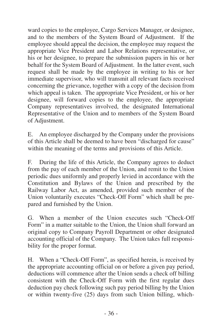ward copies to the employee, Cargo Services Manager, or designee, and to the members of the System Board of Adjustment. If the employee should appeal the decision, the employee may request the appropriate Vice President and Labor Relations representative, or his or her designee, to prepare the submission papers in his or her behalf for the System Board of Adjustment. In the latter event, such request shall be made by the employee in writing to his or her immediate supervisor, who will transmit all relevant facts received concerning the grievance, together with a copy of the decision from which appeal is taken. The appropriate Vice President, or his or her designee, will forward copies to the employee, the appropriate Company representatives involved, the designated International Representative of the Union and to members of the System Board of Adjustment.

E. An employee discharged by the Company under the provisions of this Article shall be deemed to have been "discharged for cause" within the meaning of the terms and provisions of this Article.

F. During the life of this Article, the Company agrees to deduct from the pay of each member of the Union, and remit to the Union periodic dues uniformly and properly levied in accordance with the Constitution and Bylaws of the Union and prescribed by the Railway Labor Act, as amended, provided such member of the Union voluntarily executes "Check-Off Form" which shall be prepared and furnished by the Union.

G. When a member of the Union executes such "Check-Off Form" in a matter suitable to the Union, the Union shall forward an original copy to Company Payroll Department or other designated accounting official of the Company. The Union takes full responsibility for the proper format.

H. When a "Check-Off Form", as specified herein, is received by the appropriate accounting official on or before a given pay period, deductions will commence after the Union sends a check off billing consistent with the Check-Off Form with the first regular dues deduction pay check following such pay period billing by the Union or within twenty-five (25) days from such Union billing, which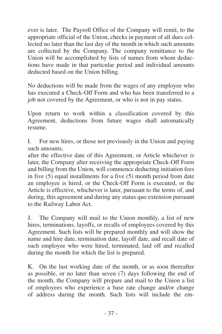ever is later. The Payroll Office of the Company will remit, to the appropriate official of the Union, checks in payment of all dues collected no later than the last day of the month in which such amounts are collected by the Company. The company remittance to the Union will be accomplished by lists of names from whom deductions have made in that particular period and individual amounts deducted based on the Union billing.

No deductions will be made from the wages of any employee who has executed a Check-Off Form and who has been transferred to a job not covered by the Agreement, or who is not in pay status.

Upon return to work within a classification covered by this Agreement, deductions from future wages shall automatically resume.

I. For new hires, or those not previously in the Union and paying such amounts,

after the effective date of this Agreement, or Article whichever is later, the Company after receiving the appropriate Check-Off Form and billing from the Union, will commence deducting initiation fees in five  $(5)$  equal installments for a five  $(5)$  month period from date an employee is hired, or the Check-Off Form is executed, or the Article is effective, whichever is later, pursuant to the terms of, and during, this agreement and during any status quo extension pursuant to the Railway Labor Act.

J. The Company will mail to the Union monthly, a list of new hires, terminations, layoffs, or recalls of employees covered by this Agreement. Such lists will be prepared monthly and will show the name and hire date, termination date, layoff date, and recall date of such employee who were hired, terminated, laid off and recalled during the month for which the list is prepared.

K. On the last working date of the month, or as soon thereafter as possible, or no later than seven (7) days following the end of the month, the Company will prepare and mail to the Union a list of employees who experience a base rate change and/or change of address during the month. Such lists will include the em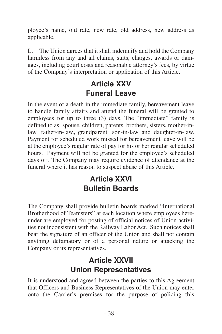<span id="page-41-0"></span>ployee's name, old rate, new rate, old address, new address as applicable.

L. The Union agrees that it shall indemnify and hold the Company harmless from any and all claims, suits, charges, awards or damages, including court costs and reasonable attorney's fees, by virtue of the Company's interpretation or application of this Article.

## **Article XXV Funeral Leave**

In the event of a death in the immediate family, bereavement leave to handle family affairs and attend the funeral will be granted to employees for up to three (3) days. The "immediate" family is defined to as: spouse, children, parents, brothers, sisters, mother-inlaw, father-in-law**,** grandparent, son-in-law and daughter-in-law. Payment for scheduled work missed for bereavement leave will be at the employee's regular rate of pay for his or her regular scheduled hours. Payment will not be granted for the employee's scheduled days off. The Company may require evidence of attendance at the funeral where it has reason to suspect abuse of this Article.

# **Article XXVI Bulletin Boards**

The Company shall provide bulletin boards marked "International Brotherhood of Teamsters" at each location where employees hereunder are employed for posting of official notices of Union activities not inconsistent with the Railway Labor Act. Such notices shall bear the signature of an officer of the Union and shall not contain anything defamatory or of a personal nature or attacking the Company or its representatives.

# **Article XXVII Union Representatives**

It is understood and agreed between the parties to this Agreement that Officers and Business Representatives of the Union may enter onto the Carrier's premises for the purpose of policing this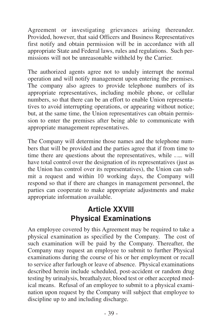<span id="page-42-0"></span>Agreement or investigating grievances arising thereunder. Provided, however, that said Officers and Business Representatives first notify and obtain permission will be in accordance with all appropriate State and Federal laws, rules and regulations. Such permissions will not be unreasonable withheld by the Carrier.

The authorized agents agree not to unduly interrupt the normal operation and will notify management upon entering the premises. The company also agrees to provide telephone numbers of its appropriate representatives, including mobile phone, or cellular numbers, so that there can be an effort to enable Union representatives to avoid interrupting operations, or appearing without notice; but, at the same time, the Union representatives can obtain permission to enter the premises after being able to communicate with appropriate management representatives.

The Company will determine those names and the telephone numbers that will be provided and the parties agree that if from time to time there are questions about the representatives, while  $\overline{\phantom{a}}$  will have total control over the designation of its representatives (just as the Union has control over its representatives), the Union can submit a request and within 10 working days, the Company will respond so that if there are changes in management personnel, the parties can cooperate to make appropriate adjustments and make appropriate information available.

### **Article XXVIII Physical Examinations**

An employee covered by this Agreement may be required to take a physical examination as specified by the Company. The cost of such examination will be paid by the Company. Thereafter, the Company may request an employee to submit to further Physical examinations during the course of his or her employment or recall to service after furlough or leave of absence. Physical examinations described herein include scheduled, post-accident or random drug testing by urinalysis, breathalyzer, blood test or other accepted medical means. Refusal of an employee to submit to a physical examination upon request by the Company will subject that employee to discipline up to and including discharge.